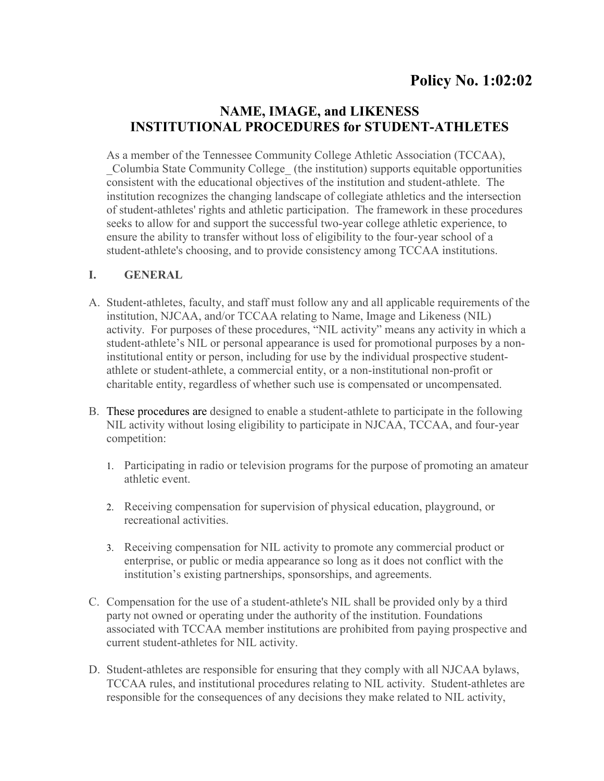# **NAME, IMAGE, and LIKENESS INSTITUTIONAL PROCEDURES for STUDENT-ATHLETES**

As a member of the Tennessee Community College Athletic Association (TCCAA), \_Columbia State Community College\_ (the institution) supports equitable opportunities consistent with the educational objectives of the institution and student-athlete. The institution recognizes the changing landscape of collegiate athletics and the intersection of student-athletes' rights and athletic participation. The framework in these procedures seeks to allow for and support the successful two-year college athletic experience, to ensure the ability to transfer without loss of eligibility to the four-year school of a student-athlete's choosing, and to provide consistency among TCCAA institutions.

#### **I. GENERAL**

- A. Student-athletes, faculty, and staff must follow any and all applicable requirements of the institution, NJCAA, and/or TCCAA relating to Name, Image and Likeness (NIL) activity. For purposes of these procedures, "NIL activity" means any activity in which a student-athlete's NIL or personal appearance is used for promotional purposes by a noninstitutional entity or person, including for use by the individual prospective studentathlete or student-athlete, a commercial entity, or a non-institutional non-profit or charitable entity, regardless of whether such use is compensated or uncompensated.
- B. These procedures are designed to enable a student-athlete to participate in the following NIL activity without losing eligibility to participate in NJCAA, TCCAA, and four-year competition:
	- 1. Participating in radio or television programs for the purpose of promoting an amateur athletic event.
	- 2. Receiving compensation for supervision of physical education, playground, or recreational activities.
	- 3. Receiving compensation for NIL activity to promote any commercial product or enterprise, or public or media appearance so long as it does not conflict with the institution's existing partnerships, sponsorships, and agreements.
- C. Compensation for the use of a student-athlete's NIL shall be provided only by a third party not owned or operating under the authority of the institution. Foundations associated with TCCAA member institutions are prohibited from paying prospective and current student-athletes for NIL activity.
- D. Student-athletes are responsible for ensuring that they comply with all NJCAA bylaws, TCCAA rules, and institutional procedures relating to NIL activity. Student-athletes are responsible for the consequences of any decisions they make related to NIL activity,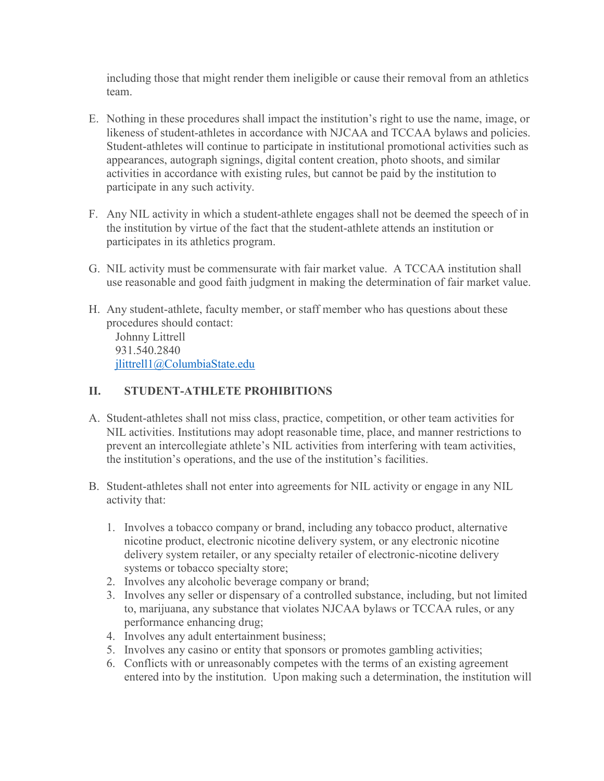including those that might render them ineligible or cause their removal from an athletics team.

- E. Nothing in these procedures shall impact the institution's right to use the name, image, or likeness of student-athletes in accordance with NJCAA and TCCAA bylaws and policies. Student-athletes will continue to participate in institutional promotional activities such as appearances, autograph signings, digital content creation, photo shoots, and similar activities in accordance with existing rules, but cannot be paid by the institution to participate in any such activity.
- F. Any NIL activity in which a student-athlete engages shall not be deemed the speech of in the institution by virtue of the fact that the student-athlete attends an institution or participates in its athletics program.
- G. NIL activity must be commensurate with fair market value. A TCCAA institution shall use reasonable and good faith judgment in making the determination of fair market value.
- H. Any student-athlete, faculty member, or staff member who has questions about these procedures should contact: Johnny Littrell 931.540.2840 [jlittrell1@ColumbiaState.edu](mailto:jlittrell1@ColumbiaState.edu)

#### **II. STUDENT-ATHLETE PROHIBITIONS**

- A. Student-athletes shall not miss class, practice, competition, or other team activities for NIL activities. Institutions may adopt reasonable time, place, and manner restrictions to prevent an intercollegiate athlete's NIL activities from interfering with team activities, the institution's operations, and the use of the institution's facilities.
- B. Student-athletes shall not enter into agreements for NIL activity or engage in any NIL activity that:
	- 1. Involves a tobacco company or brand, including any tobacco product, alternative nicotine product, electronic nicotine delivery system, or any electronic nicotine delivery system retailer, or any specialty retailer of electronic-nicotine delivery systems or tobacco specialty store;
	- 2. Involves any alcoholic beverage company or brand;
	- 3. Involves any seller or dispensary of a controlled substance, including, but not limited to, marijuana, any substance that violates NJCAA bylaws or TCCAA rules, or any performance enhancing drug;
	- 4. Involves any adult entertainment business;
	- 5. Involves any casino or entity that sponsors or promotes gambling activities;
	- 6. Conflicts with or unreasonably competes with the terms of an existing agreement entered into by the institution. Upon making such a determination, the institution will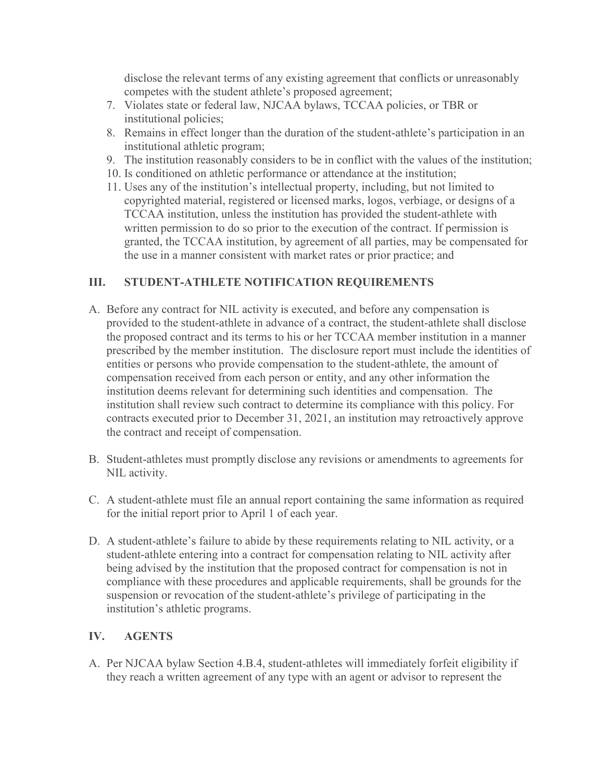disclose the relevant terms of any existing agreement that conflicts or unreasonably competes with the student athlete's proposed agreement;

- 7. Violates state or federal law, NJCAA bylaws, TCCAA policies, or TBR or institutional policies;
- 8. Remains in effect longer than the duration of the student-athlete's participation in an institutional athletic program;
- 9. The institution reasonably considers to be in conflict with the values of the institution;
- 10. Is conditioned on athletic performance or attendance at the institution;
- 11. Uses any of the institution's intellectual property, including, but not limited to copyrighted material, registered or licensed marks, logos, verbiage, or designs of a TCCAA institution, unless the institution has provided the student-athlete with written permission to do so prior to the execution of the contract. If permission is granted, the TCCAA institution, by agreement of all parties, may be compensated for the use in a manner consistent with market rates or prior practice; and

### **III. STUDENT-ATHLETE NOTIFICATION REQUIREMENTS**

- A. Before any contract for NIL activity is executed, and before any compensation is provided to the student-athlete in advance of a contract, the student-athlete shall disclose the proposed contract and its terms to his or her TCCAA member institution in a manner prescribed by the member institution. The disclosure report must include the identities of entities or persons who provide compensation to the student-athlete, the amount of compensation received from each person or entity, and any other information the institution deems relevant for determining such identities and compensation. The institution shall review such contract to determine its compliance with this policy. For contracts executed prior to December 31, 2021, an institution may retroactively approve the contract and receipt of compensation.
- B. Student-athletes must promptly disclose any revisions or amendments to agreements for NIL activity.
- C. A student-athlete must file an annual report containing the same information as required for the initial report prior to April 1 of each year.
- D. A student-athlete's failure to abide by these requirements relating to NIL activity, or a student-athlete entering into a contract for compensation relating to NIL activity after being advised by the institution that the proposed contract for compensation is not in compliance with these procedures and applicable requirements, shall be grounds for the suspension or revocation of the student-athlete's privilege of participating in the institution's athletic programs.

## **IV. AGENTS**

A. Per NJCAA bylaw Section 4.B.4, student-athletes will immediately forfeit eligibility if they reach a written agreement of any type with an agent or advisor to represent the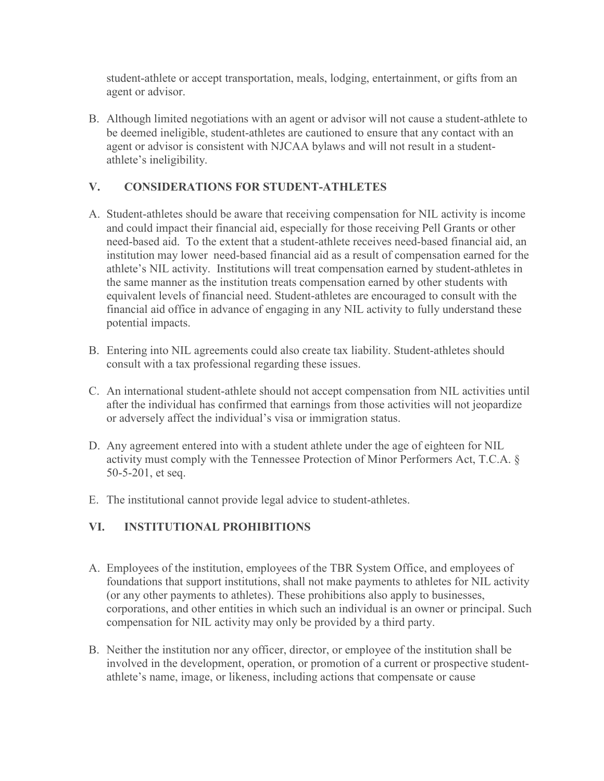student-athlete or accept transportation, meals, lodging, entertainment, or gifts from an agent or advisor.

B. Although limited negotiations with an agent or advisor will not cause a student-athlete to be deemed ineligible, student-athletes are cautioned to ensure that any contact with an agent or advisor is consistent with NJCAA bylaws and will not result in a studentathlete's ineligibility.

## **V. CONSIDERATIONS FOR STUDENT-ATHLETES**

- A. Student-athletes should be aware that receiving compensation for NIL activity is income and could impact their financial aid, especially for those receiving Pell Grants or other need-based aid. To the extent that a student-athlete receives need-based financial aid, an institution may lower need-based financial aid as a result of compensation earned for the athlete's NIL activity. Institutions will treat compensation earned by student-athletes in the same manner as the institution treats compensation earned by other students with equivalent levels of financial need. Student-athletes are encouraged to consult with the financial aid office in advance of engaging in any NIL activity to fully understand these potential impacts.
- B. Entering into NIL agreements could also create tax liability. Student-athletes should consult with a tax professional regarding these issues.
- C. An international student-athlete should not accept compensation from NIL activities until after the individual has confirmed that earnings from those activities will not jeopardize or adversely affect the individual's visa or immigration status.
- D. Any agreement entered into with a student athlete under the age of eighteen for NIL activity must comply with the Tennessee Protection of Minor Performers Act, T.C.A. § 50-5-201, et seq.
- E. The institutional cannot provide legal advice to student-athletes.

## **VI. INSTITUTIONAL PROHIBITIONS**

- A. Employees of the institution, employees of the TBR System Office, and employees of foundations that support institutions, shall not make payments to athletes for NIL activity (or any other payments to athletes). These prohibitions also apply to businesses, corporations, and other entities in which such an individual is an owner or principal. Such compensation for NIL activity may only be provided by a third party.
- B. Neither the institution nor any officer, director, or employee of the institution shall be involved in the development, operation, or promotion of a current or prospective studentathlete's name, image, or likeness, including actions that compensate or cause